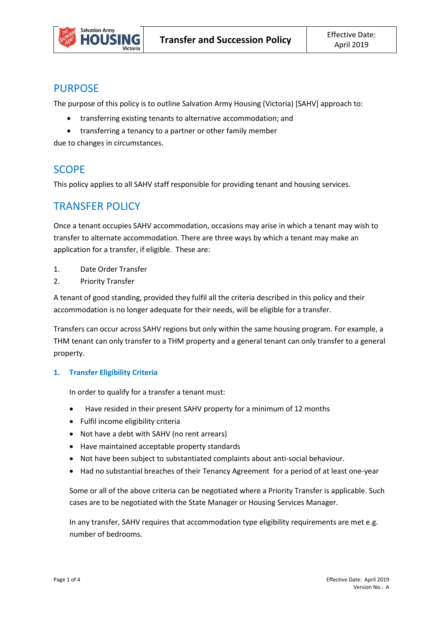

## PURPOSE

The purpose of this policy is to outline Salvation Army Housing (Victoria) [SAHV] approach to:

- transferring existing tenants to alternative accommodation; and
- transferring a tenancy to a partner or other family member

due to changes in circumstances.

## **SCOPE**

This policy applies to all SAHV staff responsible for providing tenant and housing services.

## TRANSFER POLICY

Once a tenant occupies SAHV accommodation, occasions may arise in which a tenant may wish to transfer to alternate accommodation. There are three ways by which a tenant may make an application for a transfer, if eligible. These are:

- 1. Date Order Transfer
- 2. Priority Transfer

A tenant of good standing, provided they fulfil all the criteria described in this policy and their accommodation is no longer adequate for their needs, will be eligible for a transfer.

Transfers can occur across SAHV regions but only within the same housing program. For example, a THM tenant can only transfer to a THM property and a general tenant can only transfer to a general property.

### **1. Transfer Eligibility Criteria**

In order to qualify for a transfer a tenant must:

- Have resided in their present SAHV property for a minimum of 12 months
- Fulfil income eligibility criteria
- Not have a debt with SAHV (no rent arrears)
- Have maintained acceptable property standards
- Not have been subject to substantiated complaints about anti-social behaviour.
- Had no substantial breaches of their Tenancy Agreement for a period of at least one-year

Some or all of the above criteria can be negotiated where a Priority Transfer is applicable. Such cases are to be negotiated with the State Manager or Housing Services Manager.

In any transfer, SAHV requires that accommodation type eligibility requirements are met e.g. number of bedrooms.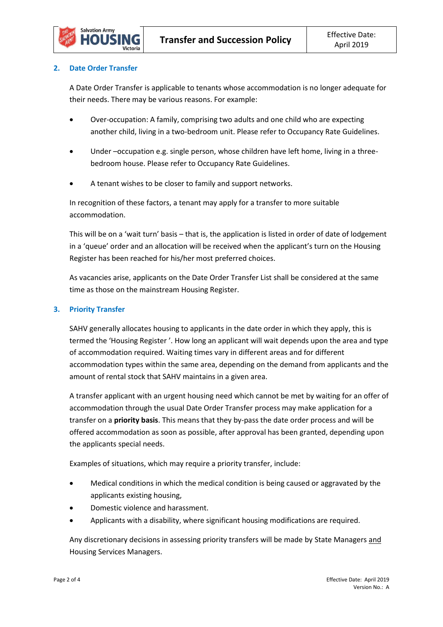

#### **2. Date Order Transfer**

A Date Order Transfer is applicable to tenants whose accommodation is no longer adequate for their needs. There may be various reasons. For example:

- Over-occupation: A family, comprising two adults and one child who are expecting another child, living in a two-bedroom unit. Please refer to Occupancy Rate Guidelines.
- Under –occupation e.g. single person, whose children have left home, living in a threebedroom house. Please refer to Occupancy Rate Guidelines.
- A tenant wishes to be closer to family and support networks.

In recognition of these factors, a tenant may apply for a transfer to more suitable accommodation.

This will be on a 'wait turn' basis – that is, the application is listed in order of date of lodgement in a 'queue' order and an allocation will be received when the applicant's turn on the Housing Register has been reached for his/her most preferred choices.

As vacancies arise, applicants on the Date Order Transfer List shall be considered at the same time as those on the mainstream Housing Register.

#### **3. Priority Transfer**

SAHV generally allocates housing to applicants in the date order in which they apply, this is termed the 'Housing Register '. How long an applicant will wait depends upon the area and type of accommodation required. Waiting times vary in different areas and for different accommodation types within the same area, depending on the demand from applicants and the amount of rental stock that SAHV maintains in a given area.

A transfer applicant with an urgent housing need which cannot be met by waiting for an offer of accommodation through the usual Date Order Transfer process may make application for a transfer on a **priority basis**. This means that they by-pass the date order process and will be offered accommodation as soon as possible, after approval has been granted, depending upon the applicants special needs.

Examples of situations, which may require a priority transfer, include:

- Medical conditions in which the medical condition is being caused or aggravated by the applicants existing housing,
- Domestic violence and harassment.
- Applicants with a disability, where significant housing modifications are required.

Any discretionary decisions in assessing priority transfers will be made by State Managers and Housing Services Managers.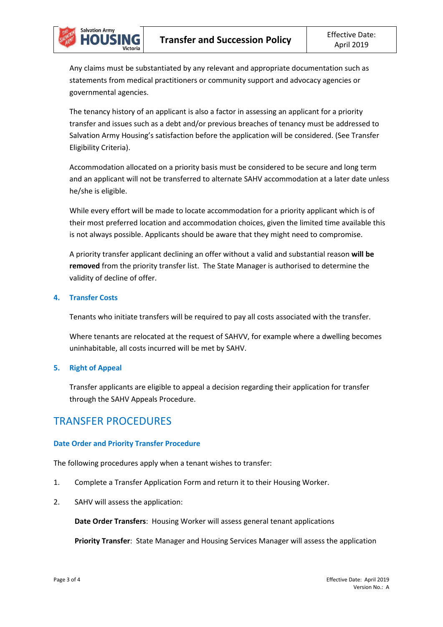Any claims must be substantiated by any relevant and appropriate documentation such as statements from medical practitioners or community support and advocacy agencies or governmental agencies.

The tenancy history of an applicant is also a factor in assessing an applicant for a priority transfer and issues such as a debt and/or previous breaches of tenancy must be addressed to Salvation Army Housing's satisfaction before the application will be considered. (See Transfer Eligibility Criteria).

Accommodation allocated on a priority basis must be considered to be secure and long term and an applicant will not be transferred to alternate SAHV accommodation at a later date unless he/she is eligible.

While every effort will be made to locate accommodation for a priority applicant which is of their most preferred location and accommodation choices, given the limited time available this is not always possible. Applicants should be aware that they might need to compromise.

A priority transfer applicant declining an offer without a valid and substantial reason **will be removed** from the priority transfer list. The State Manager is authorised to determine the validity of decline of offer.

#### **4. Transfer Costs**

**Salvation Army** 

Tenants who initiate transfers will be required to pay all costs associated with the transfer.

Where tenants are relocated at the request of SAHVV, for example where a dwelling becomes uninhabitable, all costs incurred will be met by SAHV.

### **5. Right of Appeal**

Transfer applicants are eligible to appeal a decision regarding their application for transfer through the SAHV Appeals Procedure.

## TRANSFER PROCEDURES

### **Date Order and Priority Transfer Procedure**

The following procedures apply when a tenant wishes to transfer:

- 1. Complete a Transfer Application Form and return it to their Housing Worker.
- 2. SAHV will assess the application:

**Date Order Transfers**: Housing Worker will assess general tenant applications

**Priority Transfer**: State Manager and Housing Services Manager will assess the application